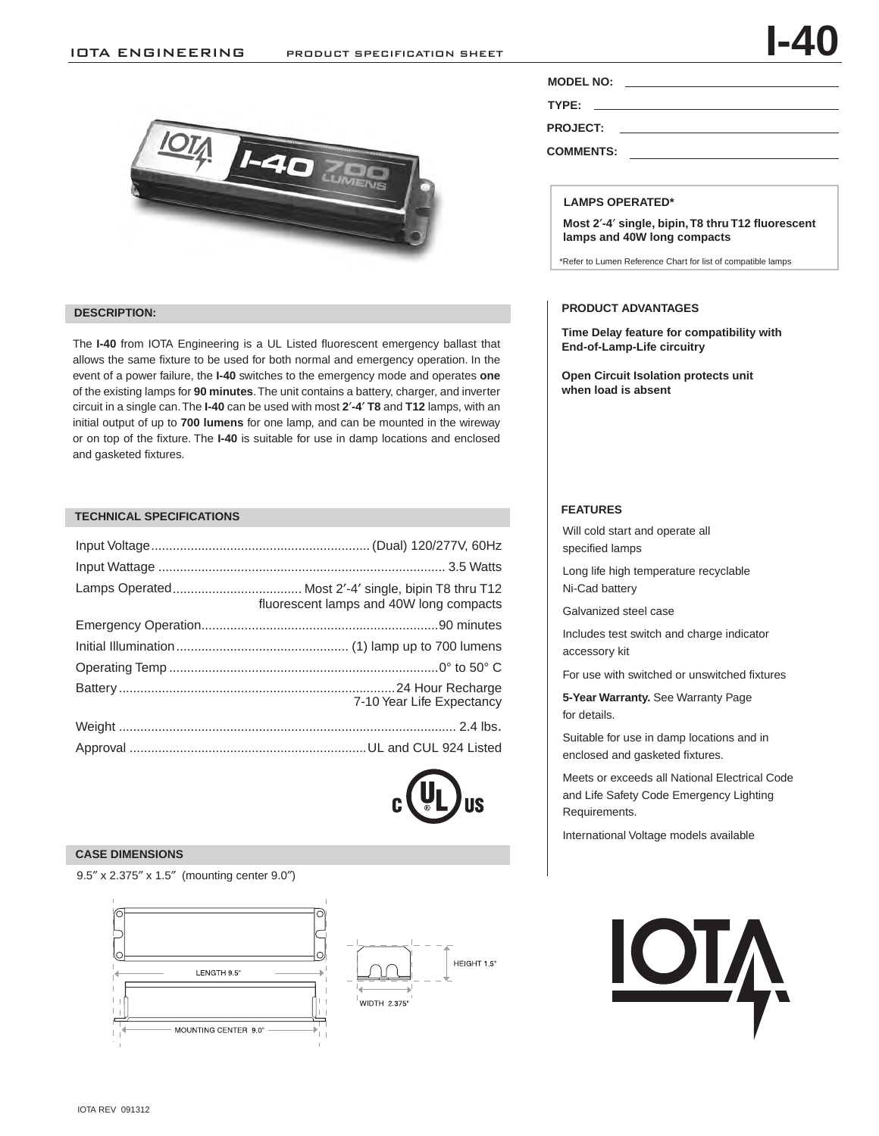### IOTA ENGINEERING PRODUCT SPECIFICATION SHEET



### **DESCRIPTION:**

The **I-40** from IOTA Engineering is a UL Listed fluorescent emergency ballast that allows the same fixture to be used for both normal and emergency operation. In the event of a power failure, the **I-40** switches to the emergency mode and operates **one** of the existing lamps for **90 minutes**. The unit contains a battery, charger, and inverter circuit in a single can. The **I-40** can be used with most **2**′**-4**′ **T8** and **T12** lamps, with an initial output of up to **700 lumens** for one lamp, and can be mounted in the wireway or on top of the fixture. The **I-40** is suitable for use in damp locations and enclosed and gasketed fixtures.

# **FEATURES TECHNICAL SPECIFICATIONS**

| fluorescent lamps and 40W long compacts |
|-----------------------------------------|
|                                         |
|                                         |
|                                         |
| 7-10 Year Life Expectancy               |
|                                         |
|                                         |



### **CASE DIMENSIONS**

9.5″ x 2.375″ x 1.5″ (mounting center 9.0″)





**MODEL NO:**

**TYPE:** 

**PROJECT:** 

**COMMENTS:** 

### **LAMPS OPERATED\***

**Most 2**′**-4**′ **single, bipin, T8 thru T12 fluorescent lamps and 40W long compacts**

\*Refer to Lumen Reference Chart for list of compatible lamps

### **PRODUCT ADVANTAGES**

**Time Delay feature for compatibility with End-of-Lamp-Life circuitry**

**Open Circuit Isolation protects unit when load is absent**

Will cold start and operate all specified lamps

Long life high temperature recyclable Ni-Cad battery

Galvanized steel case

Includes test switch and charge indicator accessory kit

For use with switched or unswitched fixtures

**5-Year Warranty.** See Warranty Page for details.

Suitable for use in damp locations and in enclosed and gasketed fixtures.

Meets or exceeds all National Electrical Code and Life Safety Code Emergency Lighting Requirements.

International Voltage models available